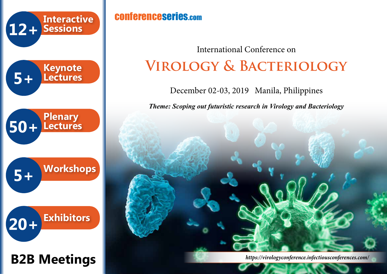

# **B2B Meetings**

## conferenceseries.com

**Virology & Bacteriology** International Conference on

December 02-03, 2019 Manila, Philippines

*Theme: Scoping out futuristic research in Virology and Bacteriology*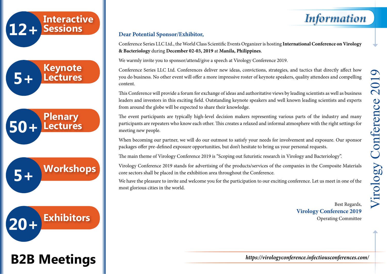

**B2B Meetings**

#### **Dear Potential Sponsor/Exhibitor,**

Conference Series LLC Ltd., the World Class Scientific Events Organizer is hosting **International Conference on Virology & Bacteriology** during **December 02-03, 2019** at **Manila, Philippines**.

We warmly invite you to sponsor/attend/give a speech at Virology Conference 2019.

Conference Series LLC Ltd. Conferences deliver new ideas, convictions, strategies, and tactics that directly affect how you do business. No other event will offer a more impressive roster of keynote speakers, quality attendees and compelling content.

This Conference will provide a forum for exchange of ideas and authoritative views by leading scientists as well as business leaders and investors in this exciting field. Outstanding keynote speakers and well known leading scientists and experts from around the globe will be expected to share their knowledge.

The event participants are typically high-level decision makers representing various parts of the industry and many participants are repeaters who know each other. This creates a relaxed and informal atmosphere with the right settings for meeting new people.

When becoming our partner, we will do our outmost to satisfy your needs for involvement and exposure. Our sponsor packages offer pre-defined exposure opportunities, but don't hesitate to bring us your personal requests.

The main theme of Virology Conference 2019 is "Scoping out futuristic research in Virology and Bacteriology".

Virology Conference 2019 stands for advertising of the products/services of the companies in the Composite Materials core sectors shall be placed in the exhibition area throughout the Conference.

We have the pleasure to invite and welcome you for the participation to our exciting conference. Let us meet in one of the most glorious cities in the world.

> Best Regards, **Virology Conference 2019** Operating Committee

*Information*

Virology Conference 2019 201 Conference Virology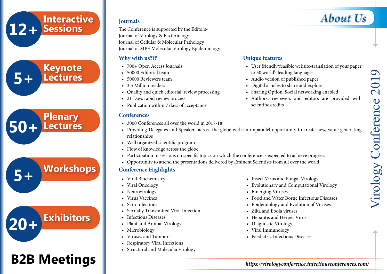## **12+ Sessions Interactive**





## **B2B Meetings**

The Conference is supported by the Editors-Journal of Virology & Bacteriology Journal of Cellular & Molecular Pathology Journal of MPE Molecular Virology Epidemiology

#### **Why with us???**

- 700+ Open Access Journals
- 50000 Editorial team
- 50000 Reviewers team
- 3.5 Million readers
- Quality and quick editorial, review processing
- 21 Days rapid review process
- Publication within 7 days of acceptance

#### **Conferences**

- 3000 Conferences all over the world in 2017-18
- Providing Delegates and Speakers across the globe with an unparallel opportunity to create new, value generating relationships
- Well organized scientific program
- Flow of knowledge across the globe
- Participation in sessions on specific topics on which the conference is expected to achieve progress
- Opportunity to attend the presentations delivered by Eminent Scientists from all over the world

#### **Conference Highlights**

- Viral Biochemistry
- Viral Oncology
- Neurovirology
- Virus Vaccines
- Skin Infections
- Sexually Transmitted Viral Infection
- Infectious Diseases
- Plant and Animal Virology
- Microbiology
- Viruses and Tumours
- Respiratory Viral Infections
- Structural and Molecular virology
- Insect Virus and Fungal Virology
- Evolutionary and Computational Virology
- Emerging Viruses
- Food and Water Borne Infectious Diseases
- Epidemiology and Evolution of Viruses
- Zika and Ebola viruses
- Hepatitis and Herpes Virus
- Diagnostic Virology
- Viral Immunology
- Paediatric Infectious Diseases

#### **Unique features** • User friendly/feasible website-translation of your paper to 50 world's leading languages

- Audio version of published paper
- Digital articles to share and explore
- Sharing Option: Social networking enabled
- Authors, reviewers and editors are provided with scientific credits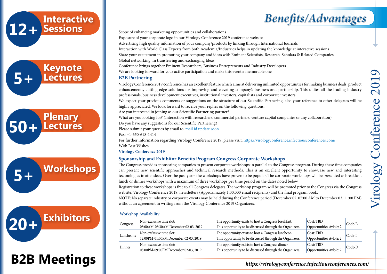



**Interactive**

# **B2B Meetings**

Scope of enhancing marketing opportunities and collaborations

Exposure of your corporate logo in our Virology Conference 2019 conference website

Advertising high quality information of your company/products by linking through International Journals

Interaction with World Class Experts from both Academia/Industries helps in updating the knowledge at interactive sessions

Share your excitement in promoting your company and ideas with Eminent Scientists, Research Scholars & Related Companies

Global networking: In transferring and exchanging Ideas

Conference brings together Eminent Researchers, Business Entrepreneurs and Industry Developers

We are looking forward for your active participation and make this event a memorable one

#### **B2B Partnering**

Virology Conference 2019 conference has an excellent feature which aims at delivering unlimited opportunities for making business deals, product enhancements, cutting edge solutions for improving and elevating company's business and partnership. This unites all the leading industry professionals, business development executives, institutional investors, capitalists and corporate investors.

We expect your precious comments or suggestions on the structure of our Scientific Partnering, also your reference to other delegates will be highly appreciated. We look forward to receive your replies on the following questions.

Are you interested in joining as our Scientific Partnering partner?

What are you looking for? (Interaction with researchers, commercial partners, venture capital companies or any collaboration) Do you have any suggestions for our Scientific Partnering?

Please submit your queries by email to: mail id update soon

Fax: +1-650-618-1414

For further information regarding Virology Conference 2019, please visit: https://virologyconference.infectiousconferences.com/ With Best Wishes

**Virology Conference 2019**

#### **Sponsorship and Exhibitor Benefits Program Congress Corporate Workshops**

The Congress provides sponsoring companies to present corporate workshops in parallel to the Congress program. During these time companies can present new scientific approaches and technical research methods. This is an excellent opportunity to showcase new and interesting technologies to attendees. Over the past years the workshops have proven to be popular. The corporate workshops will be presented as breakfast, lunch or dinner workshops with a maximum of three workshops per time period on the dates noted below.

Registration to these workshops is free to all Congress delegates. The workshop program will be promoted prior to the Congress via the Congress website, Virology Conference 2019, newsletters (Approximately 1,00,000 email recipients) and the final program book.

NOTE: No separate industry or corporate events may be held during the Conference period (December 02, 07:00 AM to December 03, 11:00 PM) without an agreement in writing from the Virology Conference 2019 Organizers.

| Workshop Availability |                                        |                                                          |                           |        |  |  |
|-----------------------|----------------------------------------|----------------------------------------------------------|---------------------------|--------|--|--|
| Congress              | Non-exclusive time slot:               | The opportunity exists to host a Congress breakfast.     | $\sqrt{\text{Cost: TBD}}$ | Code-B |  |  |
|                       | 08:00 AM-08:30 AM December 02-03, 2019 | This opportunity to be discussed through the Organizers. | Opportunities AvIble: 2   |        |  |  |
| Luncheons             | Non-exclusive time slot:               | The opportunity exists to host a Congress luncheon.      | Cost: TBD                 | Code-L |  |  |
|                       | 12:00PM-01:00PM December 02-03, 2019   | This opportunity to be discussed through the Organizers. | Opportunities Avlble: 2   |        |  |  |
| Dinner                | Non-exclusive time slot:               | The opportunity exists to host a Congress dinner.        | Cost: TBD                 | Code-D |  |  |
|                       | 08:00PM-09:00PM December 02-03, 2019   | This opportunity to be discussed through the Organizers. | Opportunities AvIble: 2   |        |  |  |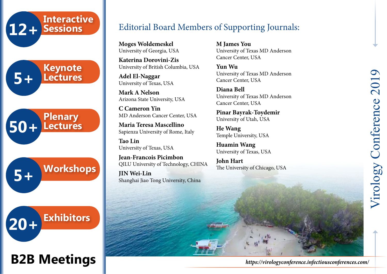

# **B2B Meetings**

### Editorial Board Members of Supporting Journals:

**Moges Woldemeskel** University of Georgia, USA

**Katerina Dorovini-Zis** University of British Columbia, USA

**Adel El-Naggar** University of Texas, USA

**Mark A Nelson** Arizona State University, USA

**C Cameron Yin** MD Anderson Cancer Center, USA

**Maria Teresa Mascellino** Sapienza University of Rome, Italy

**Tao Lin** University of Texas, USA

**Jean-Francois Picimbon** QILU University of Technology, CHINA

**JIN Wei-Lin** Shanghai Jiao Tong University, China **M James You** University of Texas MD Anderson Cancer Center, USA

**Yun Wu** University of Texas MD Anderson Cancer Center, USA

**Diana Bell** University of Texas MD Anderson Cancer Center, USA

**Pinar Bayrak-Toydemir** University of Utah, USA

**He Wang** Temple University, USA

**Huamin Wang** University of Texas, USA

**John Hart**  The University of Chicago, USA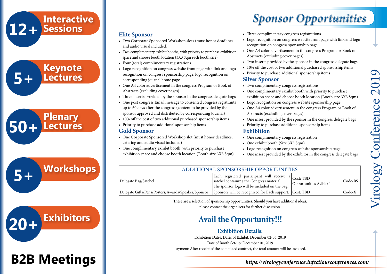# **12+ Interactive Sessions 5+ Keynote Lectures 50+ Plenary Lectures 5+ Workshops 20+ Exhibitors B2B Meetings**

**Elite Sponsor**

**Gold Sponsor**

and audio visual included)

• Four (total) complimentary registrations

corresponding journal home page

Abstracts (excluding cover pages)

catering and audio visual included)

• Priority to purchase additional sponsorship items

• Two Corporate Sponsored Workshop slots (must honor deadlines

• Two complimentary exhibit booths, with priority to purchase exhibition

• Logo recognition on congress website front page with link and logo recognition on congress sponsorship page, logo recognition on

• One A4 color advertisement in the congress Program or Book of

• Three inserts provided by the sponsor in the congress delegate bags • One post congress Email message to consented congress registrants up to 60 days after the congress (content to be provided by the sponsor approved and distributed by corresponding Journal) • 10% off the cost of two additional purchased sponsorship items

• One Corporate Sponsored Workshop slot (must honor deadlines,

• One complimentary exhibit booth, with priority to purchase exhibition space and choose booth location (Booth size 3X3 Sqm)

space and choose booth location (3X3 Sqm each booth size)

## *Sponsor Opportunities*

- Three complimentary congress registrations
- Logo recognition on congress website front page with link and logo recognition on congress sponsorship page
- One A4 color advertisement in the congress Program or Book of Abstracts (excluding cover pages)
- Two inserts provided by the sponsor in the congress delegate bags
- 10% off the cost of two additional purchased sponsorship items
- Priority to purchase additional sponsorship items

#### **Silver Sponsor**

- Two complimentary congress registrations
- One complimentary exhibit booth with priority to purchase exhibition space and choose booth location (Booth size 3X3 Sqm)
- Logo recognition on congress website sponsorship page
- One A4 color advertisement in the congress Program or Book of Abstracts (excluding cover pages)
- One insert provided by the sponsor in the congress delegate bags
- Priority to purchase additional sponsorship items

#### **Exhibition**

- One complimentary congress registration
- One exhibit booth (Size 3X3 Sqm)
- Logo recognition on congress website sponsorship page
- One insert provided by the exhibitor in the congress delegate bags

| ADDITIONAL SPONSORSHIP OPPORTUNITIES               |                                                                                                                                                                |                         |         |  |  |
|----------------------------------------------------|----------------------------------------------------------------------------------------------------------------------------------------------------------------|-------------------------|---------|--|--|
| Delegate Bag/Satchel                               | Each registered participant will receive $a _{\text{Cost: TBD}}$<br>satchel containing the Congress material.<br>The sponsor logo will be included on the bag. | Opportunities Avible: 1 | Code-BS |  |  |
| Delegate Gifts/Pens/Posters/Awards/Speaker/Sponsor | Sponsors will be recognized for Each support. Cost: TBD                                                                                                        |                         | Code-X  |  |  |

These are a selection of sponsorship opportunities. Should you have additional ideas, please contact the organisers for further discussion.

## **Avail the Opportunity!!!**

#### **Exhibition Details:**

Exhibition Dates: Dates of Exhibit: December 02-03, 2019 Date of Booth Set-up: December 01, 2019 Payment: After receipt of the completed contract, the total amount will be invoiced.